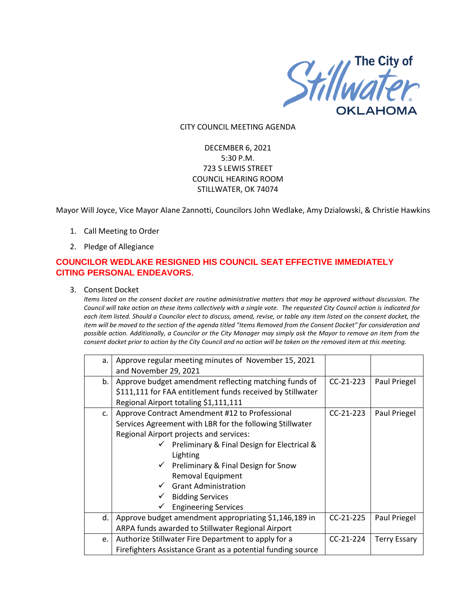

#### CITY COUNCIL MEETING AGENDA

# DECEMBER 6, 2021 5:30 P.M. 723 S LEWIS STREET COUNCIL HEARING ROOM STILLWATER, OK 74074

Mayor Will Joyce, Vice Mayor Alane Zannotti, Councilors John Wedlake, Amy Dzialowski, & Christie Hawkins

- 1. Call Meeting to Order
- 2. Pledge of Allegiance

# **COUNCILOR WEDLAKE RESIGNED HIS COUNCIL SEAT EFFECTIVE IMMEDIATELY CITING PERSONAL ENDEAVORS.**

3. Consent Docket

*Items listed on the consent docket are routine administrative matters that may be approved without discussion. The Council will take action on these items collectively with a single vote. The requested City Council action is indicated for each item listed. Should a Councilor elect to discuss, amend, revise, or table any item listed on the consent docket, the item will be moved to the section of the agenda titled "Items Removed from the Consent Docket" for consideration and possible action. Additionally, a Councilor or the City Manager may simply ask the Mayor to remove an item from the consent docket prior to action by the City Council and no action will be taken on the removed item at this meeting.*

| a. | Approve regular meeting minutes of November 15, 2021<br>and November 29, 2021 |             |                     |
|----|-------------------------------------------------------------------------------|-------------|---------------------|
| b. | Approve budget amendment reflecting matching funds of                         | $CC-21-223$ | Paul Priegel        |
|    | \$111,111 for FAA entitlement funds received by Stillwater                    |             |                     |
|    | Regional Airport totaling \$1,111,111                                         |             |                     |
| c. | Approve Contract Amendment #12 to Professional                                | $CC-21-223$ | Paul Priegel        |
|    | Services Agreement with LBR for the following Stillwater                      |             |                     |
|    | Regional Airport projects and services:                                       |             |                     |
|    | $\checkmark$ Preliminary & Final Design for Electrical &                      |             |                     |
|    | Lighting                                                                      |             |                     |
|    | $\checkmark$ Preliminary & Final Design for Snow                              |             |                     |
|    | Removal Equipment                                                             |             |                     |
|    | <b>Grant Administration</b>                                                   |             |                     |
|    | <b>Bidding Services</b>                                                       |             |                     |
|    | <b>Engineering Services</b>                                                   |             |                     |
| d. | Approve budget amendment appropriating \$1,146,189 in                         | $CC-21-225$ | Paul Priegel        |
|    | ARPA funds awarded to Stillwater Regional Airport                             |             |                     |
| e. | Authorize Stillwater Fire Department to apply for a                           | $CC-21-224$ | <b>Terry Essary</b> |
|    | Firefighters Assistance Grant as a potential funding source                   |             |                     |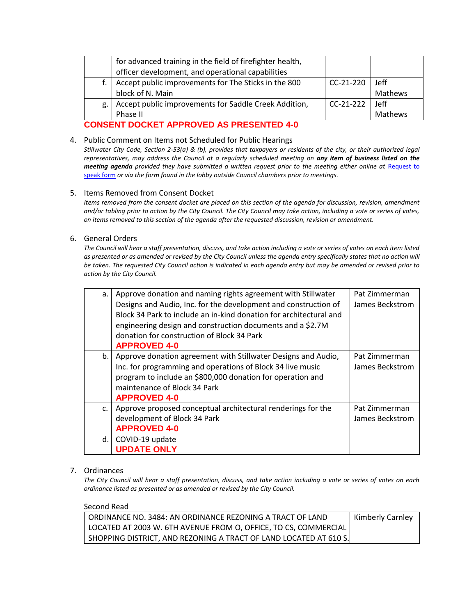|    | for advanced training in the field of firefighter health, |             |             |
|----|-----------------------------------------------------------|-------------|-------------|
|    | officer development, and operational capabilities         |             |             |
|    | Accept public improvements for The Sticks in the 800      | $CC-21-220$ | <b>Jeff</b> |
|    | block of N. Main                                          |             | Mathews     |
| g. | Accept public improvements for Saddle Creek Addition,     | $CC-21-222$ | <b>Jeff</b> |
|    | Phase II                                                  |             | Mathews     |

## **CONSENT DOCKET APPROVED AS PRESENTED 4-0**

### 4. Public Comment on Items not Scheduled for Public Hearings

*Stillwater City Code, Section 2-53(a) & (b), provides that taxpayers or residents of the city, or their authorized legal representatives, may address the Council at a regularly scheduled meeting on any item of business listed on the meeting agenda provided they have submitted a written request prior to the meeting either online at Request to* [speak form](http://stillwater.org/page/home/government/mayor-city-council/meetings-agendas-minutes/online-request-to-speak-at-city-council) *or via the form found in the lobby outside Council chambers prior to meetings.*

#### 5. Items Removed from Consent Docket

*Items removed from the consent docket are placed on this section of the agenda for discussion, revision, amendment and/or tabling prior to action by the City Council. The City Council may take action, including a vote or series of votes, on items removed to this section of the agenda after the requested discussion, revision or amendment.*

#### 6. General Orders

*The Council will hear a staff presentation, discuss, and take action including a vote or series of votes on each item listed as presented or as amended or revised by the City Council unless the agenda entry specifically states that no action will be taken. The requested City Council action is indicated in each agenda entry but may be amended or revised prior to action by the City Council.* 

| a. | Approve donation and naming rights agreement with Stillwater<br>Designs and Audio, Inc. for the development and construction of<br>Block 34 Park to include an in-kind donation for architectural and<br>engineering design and construction documents and a \$2.7M<br>donation for construction of Block 34 Park<br><b>APPROVED 4-0</b> | Pat Zimmerman<br>James Beckstrom |
|----|------------------------------------------------------------------------------------------------------------------------------------------------------------------------------------------------------------------------------------------------------------------------------------------------------------------------------------------|----------------------------------|
| b. | Approve donation agreement with Stillwater Designs and Audio,<br>Inc. for programming and operations of Block 34 live music<br>program to include an \$800,000 donation for operation and<br>maintenance of Block 34 Park<br><b>APPROVED 4-0</b>                                                                                         | Pat Zimmerman<br>James Beckstrom |
| C. | Approve proposed conceptual architectural renderings for the<br>development of Block 34 Park<br><b>APPROVED 4-0</b>                                                                                                                                                                                                                      | Pat Zimmerman<br>James Beckstrom |
| d. | COVID-19 update<br><b>UPDATE ONLY</b>                                                                                                                                                                                                                                                                                                    |                                  |

### 7. Ordinances

*The City Council will hear a staff presentation, discuss, and take action including a vote or series of votes on each ordinance listed as presented or as amended or revised by the City Council.*

#### Second Read

| I ORDINANCE NO. 3484: AN ORDINANCE REZONING A TRACT OF LAND       | Kimberly Carnley |
|-------------------------------------------------------------------|------------------|
| LOCATED AT 2003 W. 6TH AVENUE FROM O, OFFICE, TO CS, COMMERCIAL   |                  |
| SHOPPING DISTRICT, AND REZONING A TRACT OF LAND LOCATED AT 610 S. |                  |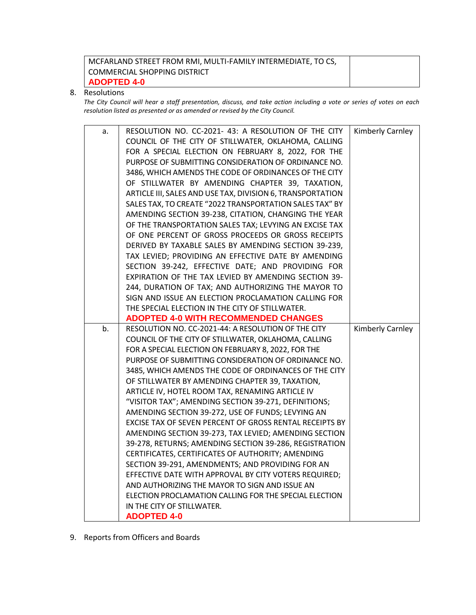| ' MCFARLAND STREET FROM RMI, MULTI-FAMILY INTERMEDIATE, TO CS, |  |
|----------------------------------------------------------------|--|
| I COMMERCIAL SHOPPING DISTRICT                                 |  |
| ADOPTED 4-0                                                    |  |

### 8. Resolutions

*The City Council will hear a staff presentation, discuss, and take action including a vote or series of votes on each resolution listed as presented or as amended or revised by the City Council.* 

| a. | RESOLUTION NO. CC-2021- 43: A RESOLUTION OF THE CITY       | Kimberly Carnley |
|----|------------------------------------------------------------|------------------|
|    | COUNCIL OF THE CITY OF STILLWATER, OKLAHOMA, CALLING       |                  |
|    | FOR A SPECIAL ELECTION ON FEBRUARY 8, 2022, FOR THE        |                  |
|    | PURPOSE OF SUBMITTING CONSIDERATION OF ORDINANCE NO.       |                  |
|    | 3486, WHICH AMENDS THE CODE OF ORDINANCES OF THE CITY      |                  |
|    | OF STILLWATER BY AMENDING CHAPTER 39, TAXATION,            |                  |
|    | ARTICLE III, SALES AND USE TAX, DIVISION 6, TRANSPORTATION |                  |
|    | SALES TAX, TO CREATE "2022 TRANSPORTATION SALES TAX" BY    |                  |
|    | AMENDING SECTION 39-238, CITATION, CHANGING THE YEAR       |                  |
|    | OF THE TRANSPORTATION SALES TAX; LEVYING AN EXCISE TAX     |                  |
|    | OF ONE PERCENT OF GROSS PROCEEDS OR GROSS RECEIPTS         |                  |
|    | DERIVED BY TAXABLE SALES BY AMENDING SECTION 39-239,       |                  |
|    | TAX LEVIED; PROVIDING AN EFFECTIVE DATE BY AMENDING        |                  |
|    | SECTION 39-242, EFFECTIVE DATE; AND PROVIDING FOR          |                  |
|    | EXPIRATION OF THE TAX LEVIED BY AMENDING SECTION 39-       |                  |
|    | 244, DURATION OF TAX; AND AUTHORIZING THE MAYOR TO         |                  |
|    | SIGN AND ISSUE AN ELECTION PROCLAMATION CALLING FOR        |                  |
|    | THE SPECIAL ELECTION IN THE CITY OF STILLWATER.            |                  |
|    | <b>ADOPTED 4-0 WITH RECOMMENDED CHANGES</b>                |                  |
|    |                                                            |                  |
| b. | RESOLUTION NO. CC-2021-44: A RESOLUTION OF THE CITY        | Kimberly Carnley |
|    | COUNCIL OF THE CITY OF STILLWATER, OKLAHOMA, CALLING       |                  |
|    | FOR A SPECIAL ELECTION ON FEBRUARY 8, 2022, FOR THE        |                  |
|    | PURPOSE OF SUBMITTING CONSIDERATION OF ORDINANCE NO.       |                  |
|    | 3485, WHICH AMENDS THE CODE OF ORDINANCES OF THE CITY      |                  |
|    | OF STILLWATER BY AMENDING CHAPTER 39, TAXATION,            |                  |
|    | ARTICLE IV, HOTEL ROOM TAX, RENAMING ARTICLE IV            |                  |
|    | "VISITOR TAX"; AMENDING SECTION 39-271, DEFINITIONS;       |                  |
|    | AMENDING SECTION 39-272, USE OF FUNDS; LEVYING AN          |                  |
|    | EXCISE TAX OF SEVEN PERCENT OF GROSS RENTAL RECEIPTS BY    |                  |
|    | AMENDING SECTION 39-273, TAX LEVIED; AMENDING SECTION      |                  |
|    | 39-278, RETURNS; AMENDING SECTION 39-286, REGISTRATION     |                  |
|    | CERTIFICATES, CERTIFICATES OF AUTHORITY; AMENDING          |                  |
|    | SECTION 39-291, AMENDMENTS; AND PROVIDING FOR AN           |                  |
|    | EFFECTIVE DATE WITH APPROVAL BY CITY VOTERS REQUIRED;      |                  |
|    | AND AUTHORIZING THE MAYOR TO SIGN AND ISSUE AN             |                  |
|    | ELECTION PROCLAMATION CALLING FOR THE SPECIAL ELECTION     |                  |
|    | IN THE CITY OF STILLWATER.<br><b>ADOPTED 4-0</b>           |                  |

9. Reports from Officers and Boards